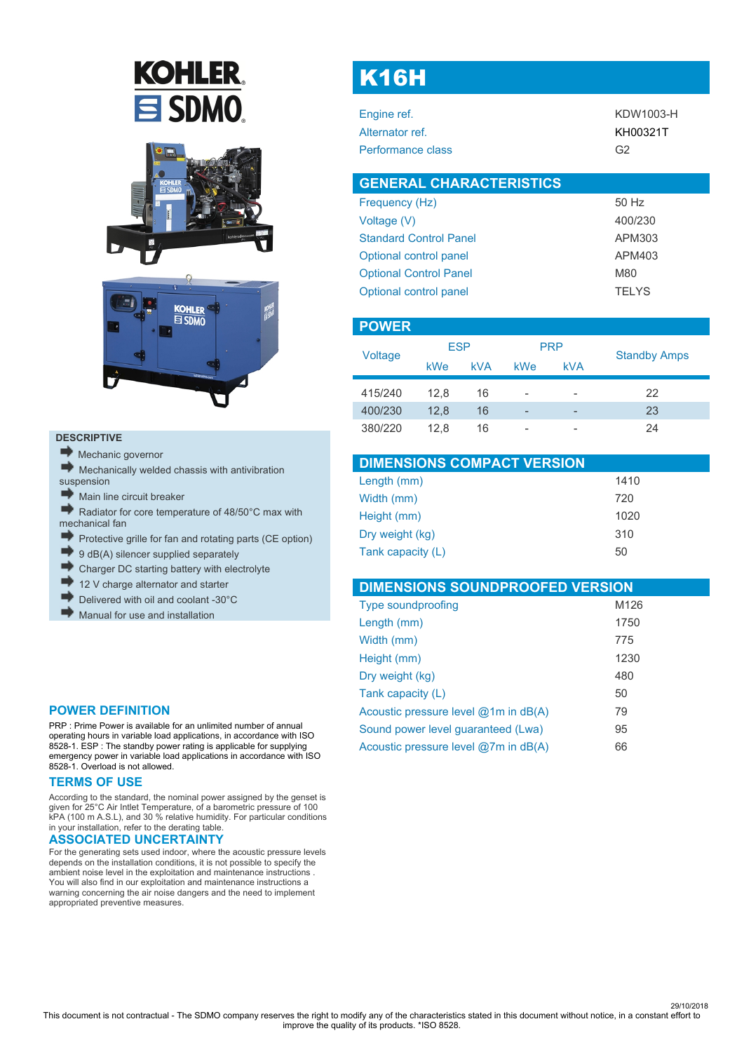# **KOHLER** SDMO.





#### **DESCRIPTIVE**

- Mechanic governor
- $\blacktriangleright$  Mechanically welded chassis with antivibration
- suspension
- Main line circuit breaker
- Radiator for core temperature of 48/50°C max with mechanical fan
- Protective grille for fan and rotating parts (CE option)
- d) 9 dB(A) silencer supplied separately
- Charger DC starting battery with electrolyte
- 12 V charge alternator and starter
- Delivered with oil and coolant -30°C
- Manual for use and installation

### **POWER DEFINITION**

PRP : Prime Power is available for an unlimited number of annual operating hours in variable load applications, in accordance with ISO 8528-1. ESP : The standby power rating is applicable for supplying emergency power in variable load applications in accordance with ISO 8528-1. Overload is not allowed.

#### **TERMS OF USE**

According to the standard, the nominal power assigned by the genset is given for 25°C Air Intlet Temperature, of a barometric pressure of 100 kPA (100 m A.S.L), and 30 % relative humidity. For particular conditions in your installation, refer to the derating table.

### **ASSOCIATED UNCERTAINTY**

For the generating sets used indoor, where the acoustic pressure levels depends on the installation conditions, it is not possible to specify the ambient noise level in the exploitation and maintenance instructions . You will also find in our exploitation and maintenance instructions a warning concerning the air noise dangers and the need to implement appropriated preventive measures.

# K16H

| Engine ref.       | KDW1003-H      |
|-------------------|----------------|
| Alternator ref.   | KH00321T       |
| Performance class | G <sub>2</sub> |
|                   |                |

| 50 Hz        |
|--------------|
| 400/230      |
| APM303       |
| APM403       |
| M80          |
| <b>TELYS</b> |
|              |

| <b>POWER</b> |            |            |                          |                          |                     |
|--------------|------------|------------|--------------------------|--------------------------|---------------------|
|              | <b>ESP</b> |            |                          | <b>PRP</b>               |                     |
| Voltage      | kWe        | <b>kVA</b> | kWe                      | <b>kVA</b>               | <b>Standby Amps</b> |
| 415/240      | 12.8       | 16         | -                        | -                        | 22                  |
| 400/230      | 12.8       | 16         | $\overline{\phantom{0}}$ | $\overline{\phantom{a}}$ | 23                  |
| 380/220      | 12.8       | 16         | -                        | -                        | 24                  |

| <b>DIMENSIONS COMPACT VERSION</b> |      |
|-----------------------------------|------|
| Length (mm)                       | 1410 |
| Width (mm)                        | 720  |
| Height (mm)                       | 1020 |
| Dry weight (kg)                   | 310  |
| Tank capacity (L)                 | 50   |

| <b>DIMENSIONS SOUNDPROOFED VERSION</b> |      |
|----------------------------------------|------|
| <b>Type soundproofing</b>              | M126 |
| Length (mm)                            | 1750 |
| Width (mm)                             | 775  |
| Height (mm)                            | 1230 |
| Dry weight (kg)                        | 480  |
| Tank capacity (L)                      | 50   |
| Acoustic pressure level @1m in dB(A)   | 79   |
| Sound power level quaranteed (Lwa)     | 95   |
| Acoustic pressure level @7m in dB(A)   | 66   |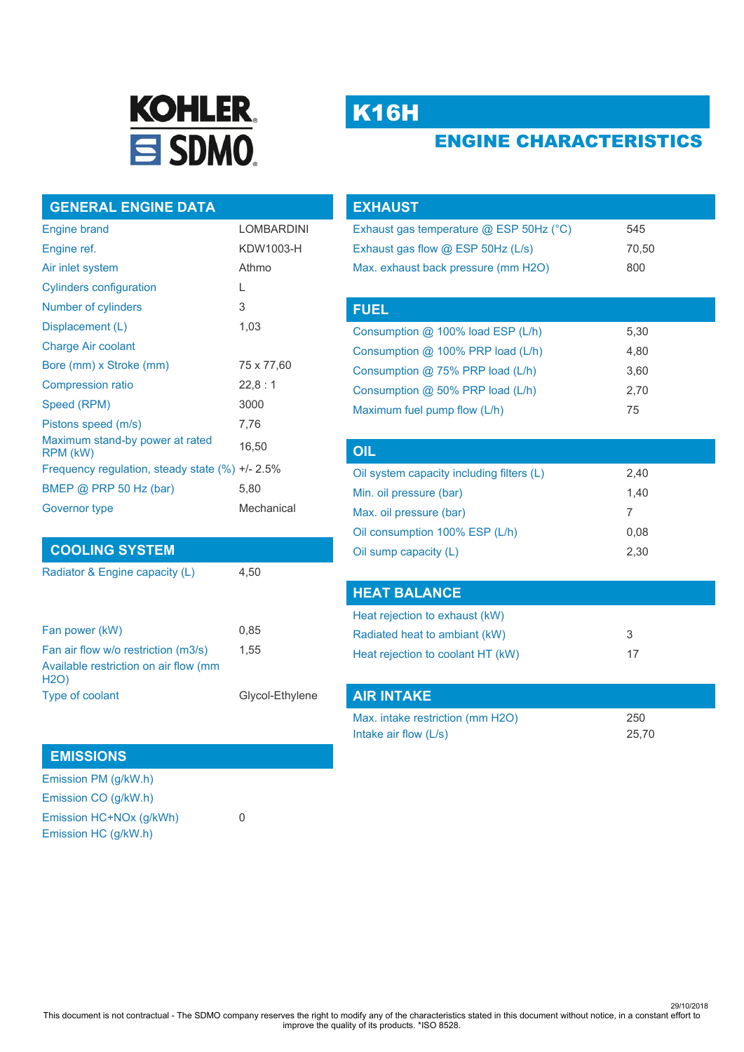

# K16H

# ENGINE CHARACTERISTICS

## **GENERAL ENGINE DATA**

| <b>Engine brand</b>                                  | <b>LOMBARDINI</b> |
|------------------------------------------------------|-------------------|
| Engine ref.                                          | KDW1003-H         |
| Air inlet system                                     | Athmo             |
| <b>Cylinders configuration</b>                       | L                 |
| Number of cylinders                                  | 3                 |
| Displacement (L)                                     | 1,03              |
| <b>Charge Air coolant</b>                            |                   |
| Bore (mm) x Stroke (mm)                              | 75 x 77,60        |
| <b>Compression ratio</b>                             | 22,8:1            |
| Speed (RPM)                                          | 3000              |
| Pistons speed (m/s)                                  | 7.76              |
| Maximum stand-by power at rated<br>RPM (kW)          | 16,50             |
| Frequency regulation, steady state $(\%) +1 - 2.5\%$ |                   |
| BMEP @ PRP 50 Hz (bar)                               | 5,80              |
| Governor type                                        | Mechanical        |

## **COOLING SYSTEM**

Radiator & Engine capacity (L) 4,50

| 0.85            |
|-----------------|
| 1.55            |
|                 |
| Glycol-Ethylene |
|                 |

## **EMISSIONS**

Emission PM (g/kW.h) Emission CO (g/kW.h) Emission HC+NOx (g/kWh) 0 Emission HC (g/kW.h)

| <b>EXHAUST</b>                            |       |  |
|-------------------------------------------|-------|--|
| Exhaust gas temperature @ ESP 50Hz (°C)   | 545   |  |
| Exhaust gas flow @ ESP 50Hz (L/s)         | 70,50 |  |
| Max. exhaust back pressure (mm H2O)       | 800   |  |
|                                           |       |  |
| <b>FUEL</b>                               |       |  |
| Consumption @ 100% load ESP (L/h)         | 5,30  |  |
| Consumption @ 100% PRP load (L/h)         | 4,80  |  |
| Consumption @ 75% PRP load (L/h)          | 3,60  |  |
| Consumption @ 50% PRP load (L/h)          | 2,70  |  |
| Maximum fuel pump flow (L/h)              | 75    |  |
|                                           |       |  |
| OIL                                       |       |  |
| Oil system canacity including filters (1) | 2 40  |  |

| Oil system capacity including filters (L) | 2,40 |
|-------------------------------------------|------|
| Min. oil pressure (bar)                   | 1.40 |
| Max. oil pressure (bar)                   |      |
| Oil consumption 100% ESP (L/h)            | 0.08 |
| Oil sump capacity (L)                     | 2,30 |

## **HEAT BALANCE**

| Heat rejection to exhaust (kW)    |    |
|-----------------------------------|----|
| Radiated heat to ambiant (kW)     | -3 |
| Heat rejection to coolant HT (kW) | 17 |

| AIR INTAKE                       |       |
|----------------------------------|-------|
| Max. intake restriction (mm H2O) | 250   |
| Intake air flow $(L/s)$          | 25.70 |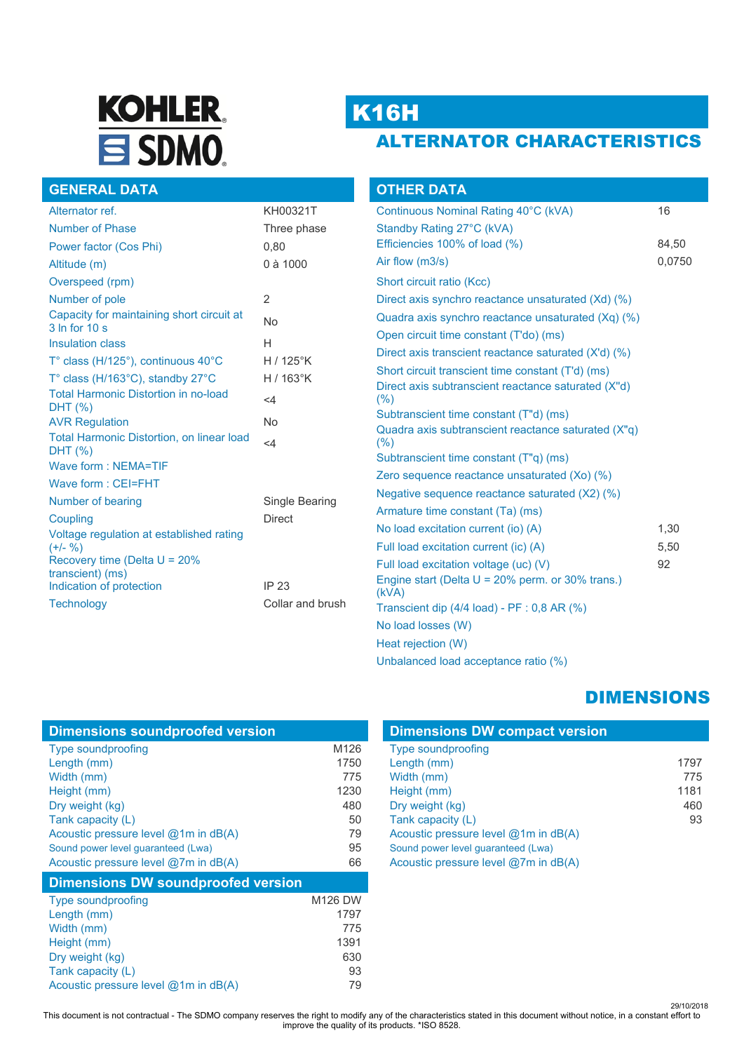# **KOHLER.** SDMO.

# K16H

# ALTERNATOR CHARACTERISTICS

| <b>GENERAL DATA</b>                                               |                  |
|-------------------------------------------------------------------|------------------|
| Alternator ref.                                                   | KH00321T         |
| Number of Phase                                                   | Three phase      |
| Power factor (Cos Phi)                                            | 0,80             |
| Altitude (m)                                                      | 0 à 1000         |
| Overspeed (rpm)                                                   |                  |
| Number of pole                                                    | $\overline{2}$   |
| Capacity for maintaining short circuit at<br>3 In for 10 s        | <b>No</b>        |
| <b>Insulation class</b>                                           | н                |
| $T^{\circ}$ class (H/125 $^{\circ}$ ), continuous 40 $^{\circ}$ C | $H/125^\circ K$  |
| T° class (H/163°C), standby 27°C                                  | $H/163$ °K       |
| <b>Total Harmonic Distortion in no-load</b><br>DHT (%)            | $\leq 4$         |
| <b>AVR Regulation</b>                                             | No               |
| <b>Total Harmonic Distortion, on linear load</b><br>DHT (%)       | $\leq 4$         |
| Wave form: NEMA=TIF                                               |                  |
| Wave form: CEI=FHT                                                |                  |
| Number of bearing                                                 | Single Bearing   |
| Coupling                                                          | <b>Direct</b>    |
| Voltage regulation at established rating<br>$(+/- 9/6)$           |                  |
| Recovery time (Delta $U = 20\%$                                   |                  |
| transcient) (ms)<br>Indication of protection                      | IP 23            |
| <b>Technology</b>                                                 | Collar and brush |
|                                                                   |                  |

| <b>OTHER DATA</b>                                            |        |
|--------------------------------------------------------------|--------|
| Continuous Nominal Rating 40°C (kVA)                         | 16     |
| Standby Rating 27°C (kVA)                                    |        |
| Efficiencies 100% of load (%)                                | 84,50  |
| Air flow (m3/s)                                              | 0,0750 |
| Short circuit ratio (Kcc)                                    |        |
| Direct axis synchro reactance unsaturated (Xd) (%)           |        |
| Quadra axis synchro reactance unsaturated (Xq) (%)           |        |
| Open circuit time constant (T'do) (ms)                       |        |
| Direct axis transcient reactance saturated (X'd) (%)         |        |
| Short circuit transcient time constant (T'd) (ms)            |        |
| Direct axis subtranscient reactance saturated (X"d)<br>(%)   |        |
| Subtranscient time constant (T"d) (ms)                       |        |
| Quadra axis subtranscient reactance saturated (X"q)<br>(% )  |        |
| Subtranscient time constant (T"q) (ms)                       |        |
| Zero sequence reactance unsaturated (Xo) (%)                 |        |
| Negative sequence reactance saturated (X2) (%)               |        |
| Armature time constant (Ta) (ms)                             |        |
| No load excitation current (io) (A)                          | 1,30   |
| Full load excitation current (ic) (A)                        | 5,50   |
| Full load excitation voltage (uc) (V)                        | 92     |
| Engine start (Delta $U = 20\%$ perm. or 30% trans.)<br>(kVA) |        |
| Transcient dip (4/4 load) - PF : 0,8 AR (%)                  |        |
| No load losses (W)                                           |        |
| Heat rejection (W)                                           |        |
| Unbalanced load acceptance ratio (%)                         |        |

# DIMENSIONS

| <b>Dimensions DW compact version</b>     |      |
|------------------------------------------|------|
| Type soundproofing                       |      |
| Length (mm)                              | 1797 |
| Width (mm)                               | 775  |
| Height (mm)                              | 1181 |
| Dry weight (kg)                          | 460  |
| Tank capacity (L)                        | 93   |
| Acoustic pressure level $@1m$ in $dB(A)$ |      |
| Sound power level guaranteed (Lwa)       |      |
| Acoustic pressure level @7m in dB(A)     |      |

| <b>Dimensions soundproofed version</b>    |                |
|-------------------------------------------|----------------|
| <b>Type soundproofing</b>                 | M126           |
| Length (mm)                               | 1750           |
| Width (mm)                                | 775            |
| Height (mm)                               | 1230           |
| Dry weight (kg)                           | 480            |
| Tank capacity (L)                         | 50             |
| Acoustic pressure level @1m in dB(A)      | 79             |
| Sound power level guaranteed (Lwa)        | 95             |
| Acoustic pressure level @7m in dB(A)      | 66             |
| <b>Dimensions DW soundproofed version</b> |                |
| Tyne soundproofing                        | <b>M126 DW</b> |

| Type soundproofing                   | M126 DW |
|--------------------------------------|---------|
| Length (mm)                          | 1797    |
| Width (mm)                           | 775     |
| Height (mm)                          | 1391    |
| Dry weight (kg)                      | 630     |
| Tank capacity (L)                    | 93      |
| Acoustic pressure level @1m in dB(A) | 79      |

29/10/2018 This document is not contractual - The SDMO company reserves the right to modify any of the characteristics stated in this document without notice, in a constant effort to improve the quality of its products. \*ISO 8528.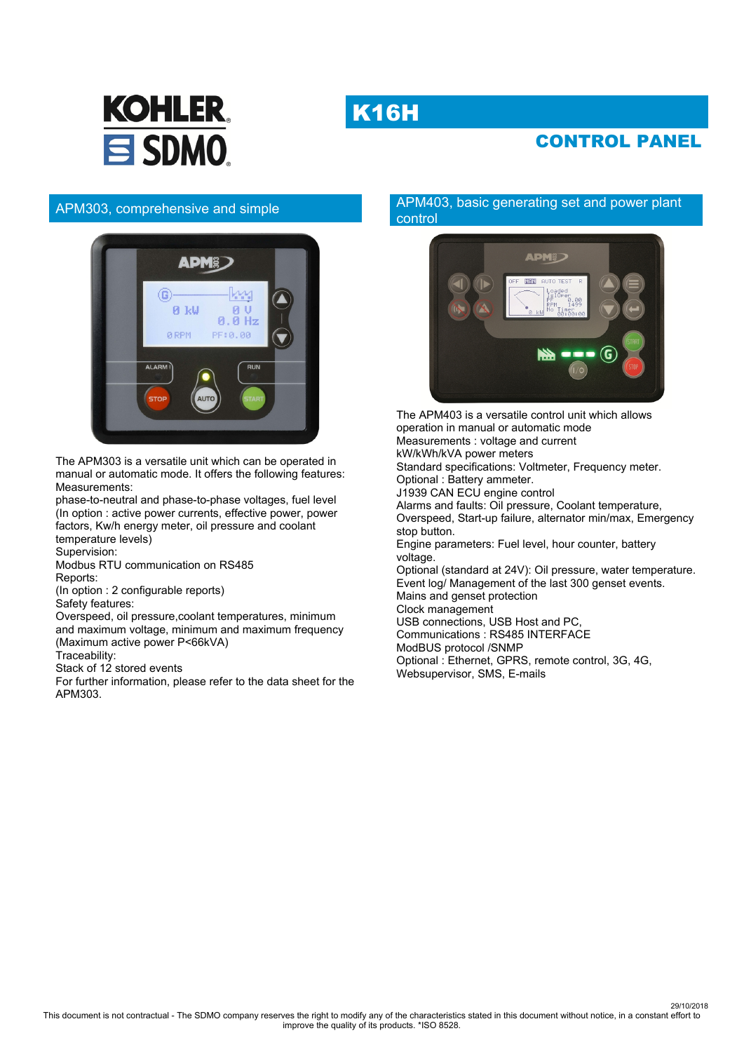# **K16H**



# CONTROL PANEL

## APM303, comprehensive and simple



The APM303 is a versatile unit which can be operated in manual or automatic mode. It offers the following features: Measurements:

phase-to-neutral and phase-to-phase voltages, fuel level (In option : active power currents, effective power, power factors, Kw/h energy meter, oil pressure and coolant temperature levels)

Supervision:

Modbus RTU communication on RS485 Reports:

(In option : 2 configurable reports)

Safety features:

Overspeed, oil pressure,coolant temperatures, minimum and maximum voltage, minimum and maximum frequency (Maximum active power P<66kVA)

Traceability:

Stack of 12 stored events

For further information, please refer to the data sheet for the APM303.

### APM403, basic generating set and power plant control



The APM403 is a versatile control unit which allows operation in manual or automatic mode Measurements : voltage and current kW/kWh/kVA power meters Standard specifications: Voltmeter, Frequency meter. Optional : Battery ammeter. J1939 CAN ECU engine control Alarms and faults: Oil pressure, Coolant temperature, Overspeed, Start-up failure, alternator min/max, Emergency stop button. Engine parameters: Fuel level, hour counter, battery voltage. Optional (standard at 24V): Oil pressure, water temperature. Event log/ Management of the last 300 genset events. Mains and genset protection Clock management USB connections, USB Host and PC, Communications : RS485 INTERFACE ModBUS protocol /SNMP Optional : Ethernet, GPRS, remote control, 3G, 4G, Websupervisor, SMS, E-mails